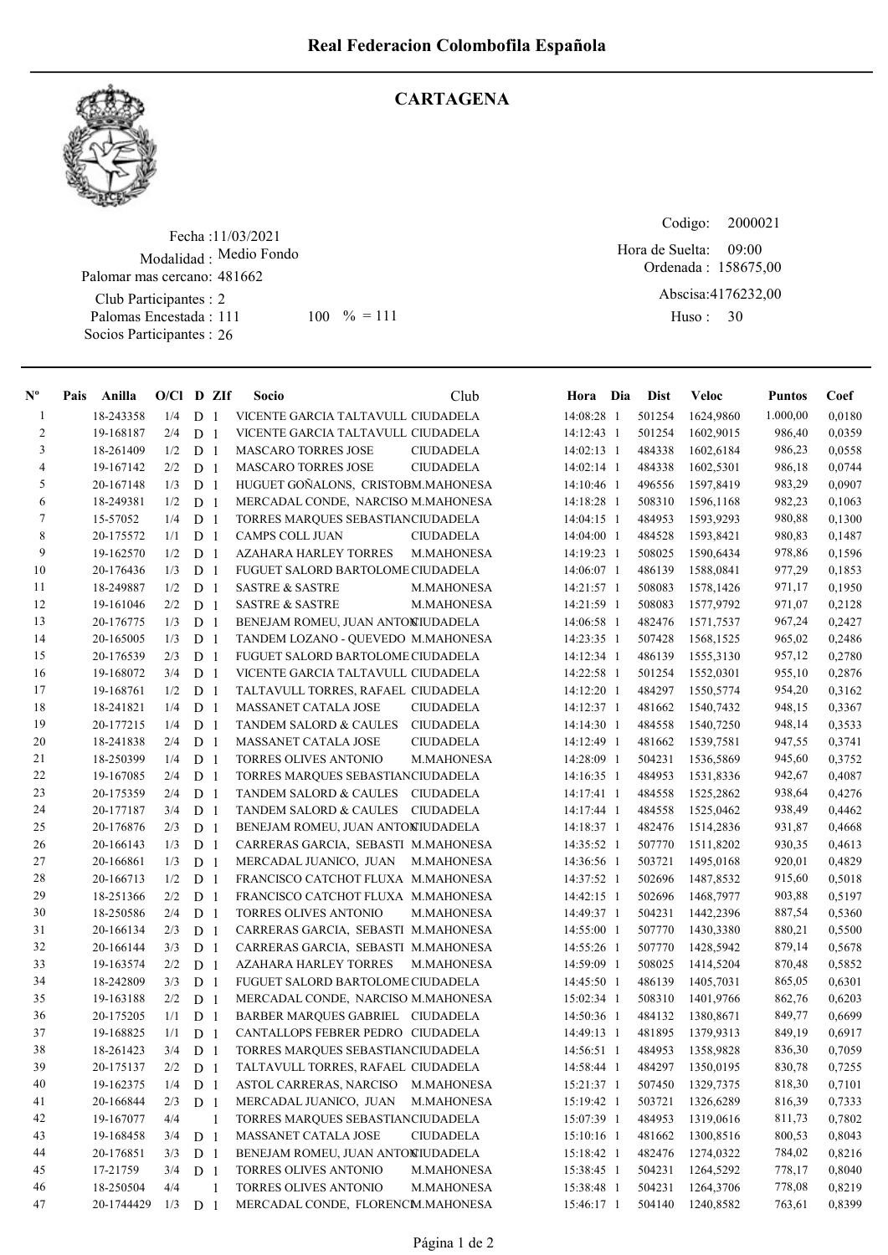

## **CARTAGENA**

Fecha : 11/03/2021 Modalidad : Medio Fondo Club Participantes : 2 Palomas Encestada : Socios Participantes : 26 Palomar mas cercano: 481662 111 100 % = 111 Huso: 30

Codigo: Ordenada : 158675,00 Abscisa: 4176232,00 Huso: 30 Hora de Suelta: 09:00

| $N^{\text{o}}$ | Pais | Anilla     | $O/Cl$ D ZIf |                |                | Socio                               | Club              | Hora Dia     | <b>Dist</b> | Veloc     | <b>Puntos</b> | Coef   |
|----------------|------|------------|--------------|----------------|----------------|-------------------------------------|-------------------|--------------|-------------|-----------|---------------|--------|
| $\mathbf{1}$   |      | 18-243358  | 1/4          | D              | $\overline{1}$ | VICENTE GARCIA TALTAVULL CIUDADELA  |                   | 14:08:28 1   | 501254      | 1624,9860 | 1.000,00      | 0,0180 |
| $\overline{c}$ |      | 19-168187  | 2/4          | D              | -1             | VICENTE GARCIA TALTAVULL CIUDADELA  |                   | 14:12:43 1   | 501254      | 1602,9015 | 986,40        | 0,0359 |
| $\mathfrak{Z}$ |      | 18-261409  | 1/2          | D <sub>1</sub> |                | MASCARO TORRES JOSE                 | <b>CIUDADELA</b>  | 14:02:13 1   | 484338      | 1602,6184 | 986,23        | 0,0558 |
| $\overline{4}$ |      | 19-167142  | 2/2          | D <sub>1</sub> |                | <b>MASCARO TORRES JOSE</b>          | <b>CIUDADELA</b>  | 14:02:14 1   | 484338      | 1602,5301 | 986,18        | 0,0744 |
| 5              |      | 20-167148  | 1/3          | D <sub>1</sub> |                | HUGUET GOÑALONS, CRISTOBM.MAHONESA  |                   | 14:10:46 1   | 496556      | 1597,8419 | 983,29        | 0,0907 |
| 6              |      | 18-249381  | 1/2          | D <sub>1</sub> |                | MERCADAL CONDE, NARCISO M.MAHONESA  |                   | 14:18:28 1   | 508310      | 1596,1168 | 982,23        | 0,1063 |
| $\tau$         |      | 15-57052   | 1/4          | D              | -1             | TORRES MARQUES SEBASTIANCIUDADELA   |                   | 14:04:15 1   | 484953      | 1593,9293 | 980,88        | 0,1300 |
| 8              |      | 20-175572  | 1/1          | D              | -1             | CAMPS COLL JUAN                     | <b>CIUDADELA</b>  | $14:04:00$ 1 | 484528      | 1593,8421 | 980,83        | 0,1487 |
| 9              |      | 19-162570  | 1/2          | D              | -1             | <b>AZAHARA HARLEY TORRES</b>        | M.MAHONESA        | 14:19:23 1   | 508025      | 1590,6434 | 978,86        | 0,1596 |
| 10             |      | 20-176436  | 1/3          | D              | -1             | FUGUET SALORD BARTOLOME CIUDADELA   |                   | 14:06:07 1   | 486139      | 1588,0841 | 977,29        | 0,1853 |
| 11             |      | 18-249887  | 1/2          | D              | -1             | <b>SASTRE &amp; SASTRE</b>          | M.MAHONESA        | 14:21:57 1   | 508083      | 1578,1426 | 971,17        | 0,1950 |
| 12             |      | 19-161046  | 2/2          | D              | -1             | <b>SASTRE &amp; SASTRE</b>          | M.MAHONESA        | 14:21:59 1   | 508083      | 1577,9792 | 971,07        | 0,2128 |
| 13             |      | 20-176775  | 1/3          | D              | -1             | BENEJAM ROMEU, JUAN ANTONIUDADELA   |                   | 14:06:58 1   | 482476      | 1571,7537 | 967,24        | 0,2427 |
| 14             |      | 20-165005  | 1/3          | D <sub>1</sub> |                | TANDEM LOZANO - QUEVEDO M.MAHONESA  |                   | 14:23:35 1   | 507428      | 1568,1525 | 965,02        | 0,2486 |
| 15             |      | 20-176539  | 2/3          | D <sub>1</sub> |                | FUGUET SALORD BARTOLOME CIUDADELA   |                   | 14:12:34 1   | 486139      | 1555,3130 | 957,12        | 0,2780 |
| 16             |      | 19-168072  | 3/4          | D <sub>1</sub> |                | VICENTE GARCIA TALTAVULL CIUDADELA  |                   | 14:22:58 1   | 501254      | 1552,0301 | 955,10        | 0,2876 |
| 17             |      | 19-168761  | 1/2          | D <sub>1</sub> |                | TALTAVULL TORRES, RAFAEL CIUDADELA  |                   | 14:12:20 1   | 484297      | 1550,5774 | 954,20        | 0,3162 |
| $18\,$         |      | 18-241821  | 1/4          | D <sub>1</sub> |                | MASSANET CATALA JOSE                | <b>CIUDADELA</b>  | 14:12:37 1   | 481662      | 1540,7432 | 948,15        | 0,3367 |
| 19             |      | 20-177215  | 1/4          | D              | -1             | TANDEM SALORD & CAULES              | <b>CIUDADELA</b>  | 14:14:30 1   | 484558      | 1540,7250 | 948,14        | 0,3533 |
| 20             |      | 18-241838  | 2/4          | D              | -1             | MASSANET CATALA JOSE                | <b>CIUDADELA</b>  | 14:12:49 1   | 481662      | 1539,7581 | 947,55        | 0,3741 |
| 21             |      | 18-250399  | 1/4          | D              | -1             | TORRES OLIVES ANTONIO               | M.MAHONESA        | 14:28:09 1   | 504231      | 1536,5869 | 945,60        | 0,3752 |
| 22             |      | 19-167085  | 2/4          | D              | -1             | TORRES MARQUES SEBASTIANCIUDADELA   |                   | 14:16:35 1   | 484953      | 1531,8336 | 942,67        | 0,4087 |
| 23             |      | 20-175359  | 2/4          | D              | -1             | <b>TANDEM SALORD &amp; CAULES</b>   | <b>CIUDADELA</b>  | 14:17:41 1   | 484558      | 1525,2862 | 938,64        | 0,4276 |
| 24             |      | 20-177187  | 3/4          | D              | -1             | TANDEM SALORD & CAULES              | <b>CIUDADELA</b>  | 14:17:44 1   | 484558      | 1525,0462 | 938,49        | 0,4462 |
| 25             |      | 20-176876  | 2/3          | D              | -1             | BENEJAM ROMEU, JUAN ANTONIUDADELA   |                   | 14:18:37 1   | 482476      | 1514,2836 | 931,87        | 0,4668 |
| 26             |      | 20-166143  | 1/3          | D <sub>1</sub> |                | CARRERAS GARCIA, SEBASTI M.MAHONESA |                   | 14:35:52 1   | 507770      | 1511,8202 | 930,35        | 0,4613 |
| 27             |      | 20-166861  | 1/3          | D <sub>1</sub> |                | MERCADAL JUANICO, JUAN              | M.MAHONESA        | 14:36:56 1   | 503721      | 1495,0168 | 920,01        | 0,4829 |
| 28             |      | 20-166713  | 1/2          | D <sub>1</sub> |                | FRANCISCO CATCHOT FLUXA M.MAHONESA  |                   | 14:37:52 1   | 502696      | 1487,8532 | 915,60        | 0,5018 |
| 29             |      | 18-251366  | 2/2          | D <sub>1</sub> |                | FRANCISCO CATCHOT FLUXA M.MAHONESA  |                   | 14:42:15 1   | 502696      | 1468,7977 | 903,88        | 0,5197 |
| $30\,$         |      | 18-250586  | 2/4          | D <sub>1</sub> |                | TORRES OLIVES ANTONIO               | M.MAHONESA        | 14:49:37 1   | 504231      | 1442,2396 | 887,54        | 0,5360 |
| 31             |      | 20-166134  | 2/3          | D              | -1             | CARRERAS GARCIA, SEBASTI M.MAHONESA |                   | 14:55:00 1   | 507770      | 1430,3380 | 880,21        | 0,5500 |
| 32             |      | 20-166144  | 3/3          | D              | -1             | CARRERAS GARCIA, SEBASTI M.MAHONESA |                   | 14:55:26 1   | 507770      | 1428,5942 | 879,14        | 0,5678 |
| 33             |      | 19-163574  | 2/2          | D              | -1             | AZAHARA HARLEY TORRES               | <b>M.MAHONESA</b> | 14:59:09 1   | 508025      | 1414,5204 | 870,48        | 0,5852 |
| 34             |      | 18-242809  | 3/3          | D <sub>1</sub> |                | FUGUET SALORD BARTOLOME CIUDADELA   |                   | 14:45:50 1   | 486139      | 1405,7031 | 865,05        | 0,6301 |
| 35             |      | 19-163188  | 2/2          | D <sub>1</sub> |                | MERCADAL CONDE, NARCISO M.MAHONESA  |                   | 15:02:34 1   | 508310      | 1401,9766 | 862,76        | 0,6203 |
| 36             |      | 20-175205  | 1/1          | D              | -1             | BARBER MARQUES GABRIEL CIUDADELA    |                   | 14:50:36 1   | 484132      | 1380,8671 | 849,77        | 0,6699 |
| 37             |      | 19-168825  | 1/1          | D              | $\overline{1}$ | CANTALLOPS FEBRER PEDRO CIUDADELA   |                   | 14:49:13 1   | 481895      | 1379,9313 | 849,19        | 0,6917 |
| $3\,8$         |      | 18-261423  | 3/4          | D <sub>1</sub> |                | TORRES MARQUES SEBASTIANCIUDADELA   |                   | 14:56:51 1   | 484953      | 1358,9828 | 836,30        | 0,7059 |
| 39             |      | 20-175137  | 2/2          | D <sub>1</sub> |                | TALTAVULL TORRES, RAFAEL CIUDADELA  |                   | 14:58:44 1   | 484297      | 1350,0195 | 830,78        | 0,7255 |
| 40             |      | 19-162375  | 1/4          | D <sub>1</sub> |                | ASTOL CARRERAS, NARCISO             | M.MAHONESA        | 15:21:37 1   | 507450      | 1329,7375 | 818,30        | 0,7101 |
| 41             |      | 20-166844  | 2/3          | D <sub>1</sub> |                | MERCADAL JUANICO, JUAN              | M.MAHONESA        | 15:19:42 1   | 503721      | 1326,6289 | 816,39        | 0,7333 |
| 42             |      | 19-167077  | 4/4          |                | 1              | TORRES MARQUES SEBASTIANCIUDADELA   |                   | 15:07:39 1   | 484953      | 1319,0616 | 811,73        | 0,7802 |
| 43             |      | 19-168458  | 3/4          | D <sub>1</sub> |                | MASSANET CATALA JOSE                | <b>CIUDADELA</b>  | 15:10:16 1   | 481662      | 1300,8516 | 800,53        | 0,8043 |
| 44             |      | 20-176851  | 3/3          | D <sub>1</sub> |                | BENEJAM ROMEU, JUAN ANTONIUDADELA   |                   | 15:18:42 1   | 482476      | 1274,0322 | 784,02        | 0,8216 |
| 45             |      | 17-21759   | 3/4          | D <sub>1</sub> |                | TORRES OLIVES ANTONIO               | M.MAHONESA        | 15:38:45 1   | 504231      | 1264,5292 | 778,17        | 0,8040 |
| 46             |      | 18-250504  | 4/4          |                | $\mathbf{1}$   | TORRES OLIVES ANTONIO               | M.MAHONESA        | 15:38:48 1   | 504231      | 1264,3706 | 778,08        | 0,8219 |
| 47             |      | 20-1744429 | 1/3          | D <sub>1</sub> |                | MERCADAL CONDE, FLORENCM.MAHONESA   |                   | 15:46:17 1   | 504140      | 1240,8582 | 763,61        | 0,8399 |
|                |      |            |              |                |                |                                     |                   |              |             |           |               |        |